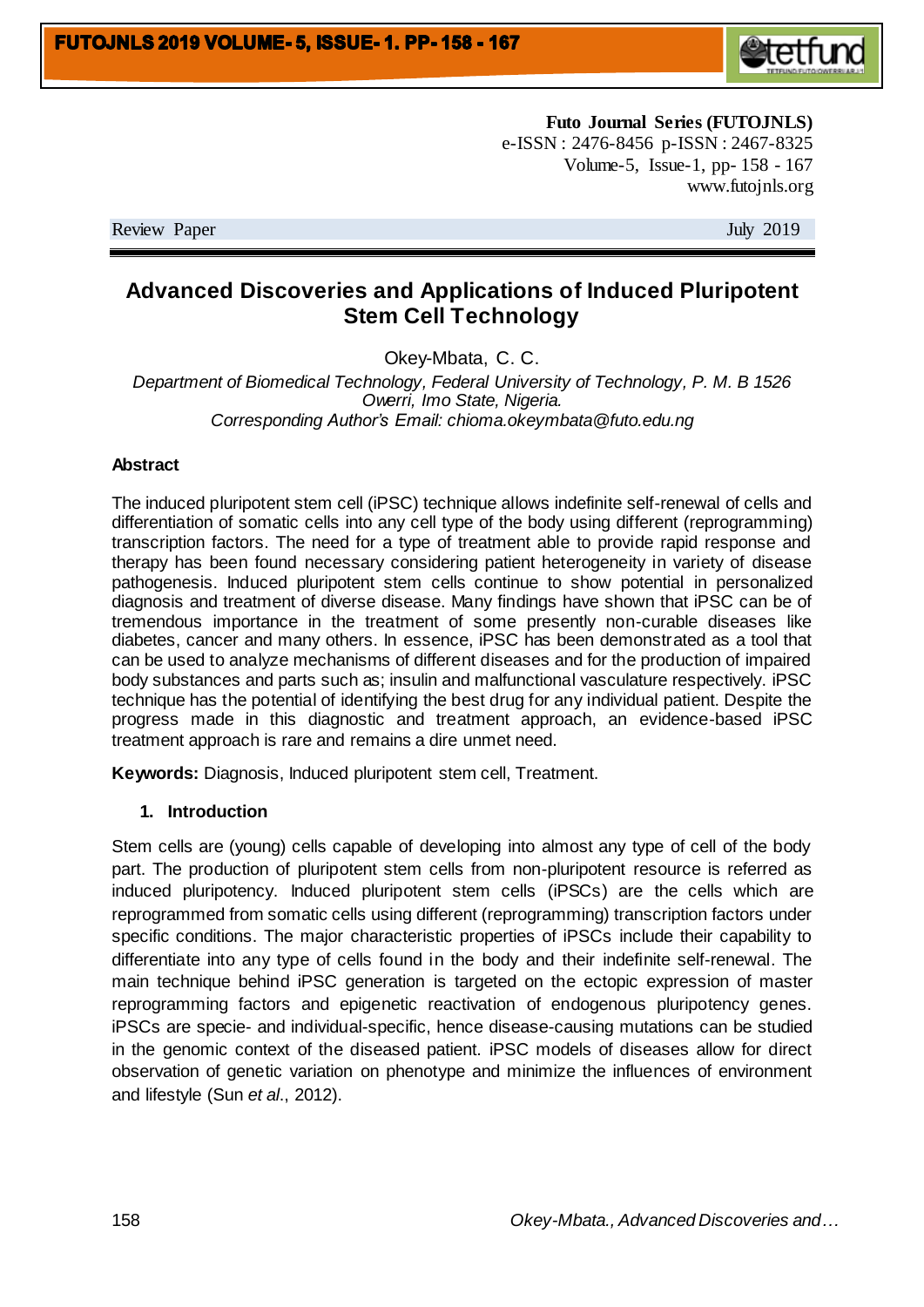

**Futo Journal Series (FUTOJNLS)** e-ISSN : 2476-8456 p-ISSN : 2467-8325 Volume-5, Issue-1, pp- 158 - 167 www.futojnls.org

Review Paper July 2019

# **Advanced Discoveries and Applications of Induced Pluripotent Stem Cell Technology**

Okey-Mbata, C. C.

*Department of Biomedical Technology, Federal University of Technology, P. M. B 1526 Owerri, Imo State, Nigeria. Corresponding Author's Email: chioma.okeymbata@futo.edu.ng*

#### **Abstract**

The induced pluripotent stem cell (iPSC) technique allows indefinite self-renewal of cells and differentiation of somatic cells into any cell type of the body using different (reprogramming) transcription factors. The need for a type of treatment able to provide rapid response and therapy has been found necessary considering patient heterogeneity in variety of disease pathogenesis. Induced pluripotent stem cells continue to show potential in personalized diagnosis and treatment of diverse disease. Many findings have shown that iPSC can be of tremendous importance in the treatment of some presently non-curable diseases like diabetes, cancer and many others. In essence, iPSC has been demonstrated as a tool that can be used to analyze mechanisms of different diseases and for the production of impaired body substances and parts such as; insulin and malfunctional vasculature respectively. iPSC technique has the potential of identifying the best drug for any individual patient. Despite the progress made in this diagnostic and treatment approach, an evidence-based iPSC treatment approach is rare and remains a dire unmet need.

**Keywords:** Diagnosis, Induced pluripotent stem cell, Treatment.

### **1. Introduction**

Stem cells are (young) cells capable of developing into almost any type of cell of the body part. The production of pluripotent stem cells from non-pluripotent resource is referred as induced pluripotency. Induced pluripotent stem cells (iPSCs) are the cells which are reprogrammed from somatic cells using different (reprogramming) transcription factors under specific conditions. The major characteristic properties of iPSCs include their capability to differentiate into any type of cells found in the body and their indefinite self-renewal. The main technique behind iPSC generation is targeted on the ectopic expression of master reprogramming factors and epigenetic reactivation of endogenous pluripotency genes. iPSCs are specie- and individual-specific, hence disease-causing mutations can be studied in the genomic context of the diseased patient. iPSC models of diseases allow for direct observation of genetic variation on phenotype and minimize the influences of environment and lifestyle (Sun *et al*., 2012).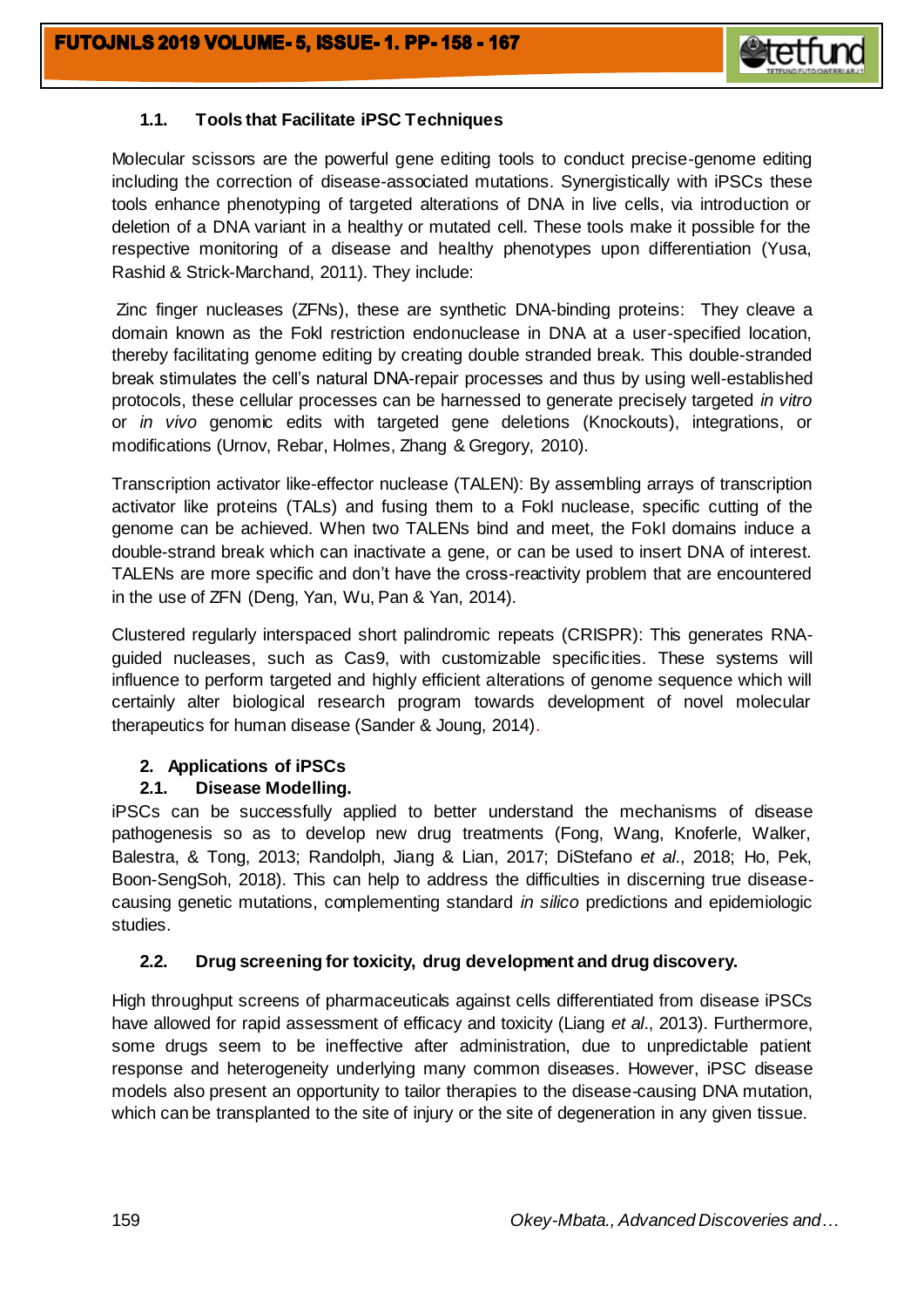

# **1.1. Tools that Facilitate iPSC Techniques**

Molecular scissors are the powerful gene editing tools to conduct precise-genome editing including the correction of disease-associated mutations. Synergistically with iPSCs these tools enhance phenotyping of targeted alterations of DNA in live cells, via introduction or deletion of a DNA variant in a healthy or mutated cell. These tools make it possible for the respective monitoring of a disease and healthy phenotypes upon differentiation (Yusa, Rashid & Strick-Marchand, 2011). They include:

Zinc finger nucleases (ZFNs), these are synthetic DNA-binding proteins: They cleave a domain known as the Fokl restriction endonuclease in DNA at a user-specified location, thereby facilitating genome editing by creating double stranded break. This double-stranded break stimulates the cell's natural DNA-repair processes and thus by using well-established protocols, these cellular processes can be harnessed to generate precisely targeted *in vitro* or *in vivo* genomic edits with targeted gene deletions (Knockouts), integrations, or modifications (Urnov, Rebar, Holmes, Zhang & Gregory, 2010).

Transcription activator like-effector nuclease (TALEN): By assembling arrays of transcription activator like proteins (TALs) and fusing them to a FokI nuclease, specific cutting of the genome can be achieved. When two TALENs bind and meet, the FokI domains induce a double-strand break which can inactivate a gene, or can be used to insert DNA of interest. TALENs are more specific and don't have the cross-reactivity problem that are encountered in the use of ZFN (Deng, Yan, Wu, Pan & Yan, 2014).

Clustered regularly interspaced short palindromic repeats (CRISPR): This generates RNAguided nucleases, such as Cas9, with customizable specificities. These systems will influence to perform targeted and highly efficient alterations of genome sequence which will certainly alter biological research program towards development of novel molecular therapeutics for human disease (Sander & Joung, 2014).

## **2. Applications of iPSCs**

## **2.1. Disease Modelling.**

iPSCs can be successfully applied to better understand the mechanisms of disease pathogenesis so as to develop new drug treatments (Fong, Wang, Knoferle, Walker, Balestra, & Tong, 2013; Randolph, Jiang & Lian, 2017; DiStefano *et al*., 2018; Ho, Pek, Boon-SengSoh, 2018). This can help to address the difficulties in discerning true diseasecausing genetic mutations, complementing standard *in silico* predictions and epidemiologic studies.

## **2.2. Drug screening for toxicity, drug development and drug discovery.**

High throughput screens of pharmaceuticals against cells differentiated from disease iPSCs have allowed for rapid assessment of efficacy and toxicity (Liang *et al*., 2013). Furthermore, some drugs seem to be ineffective after administration, due to unpredictable patient response and heterogeneity underlying many common diseases. However, iPSC disease models also present an opportunity to tailor therapies to the disease-causing DNA mutation, which can be transplanted to the site of injury or the site of degeneration in any given tissue.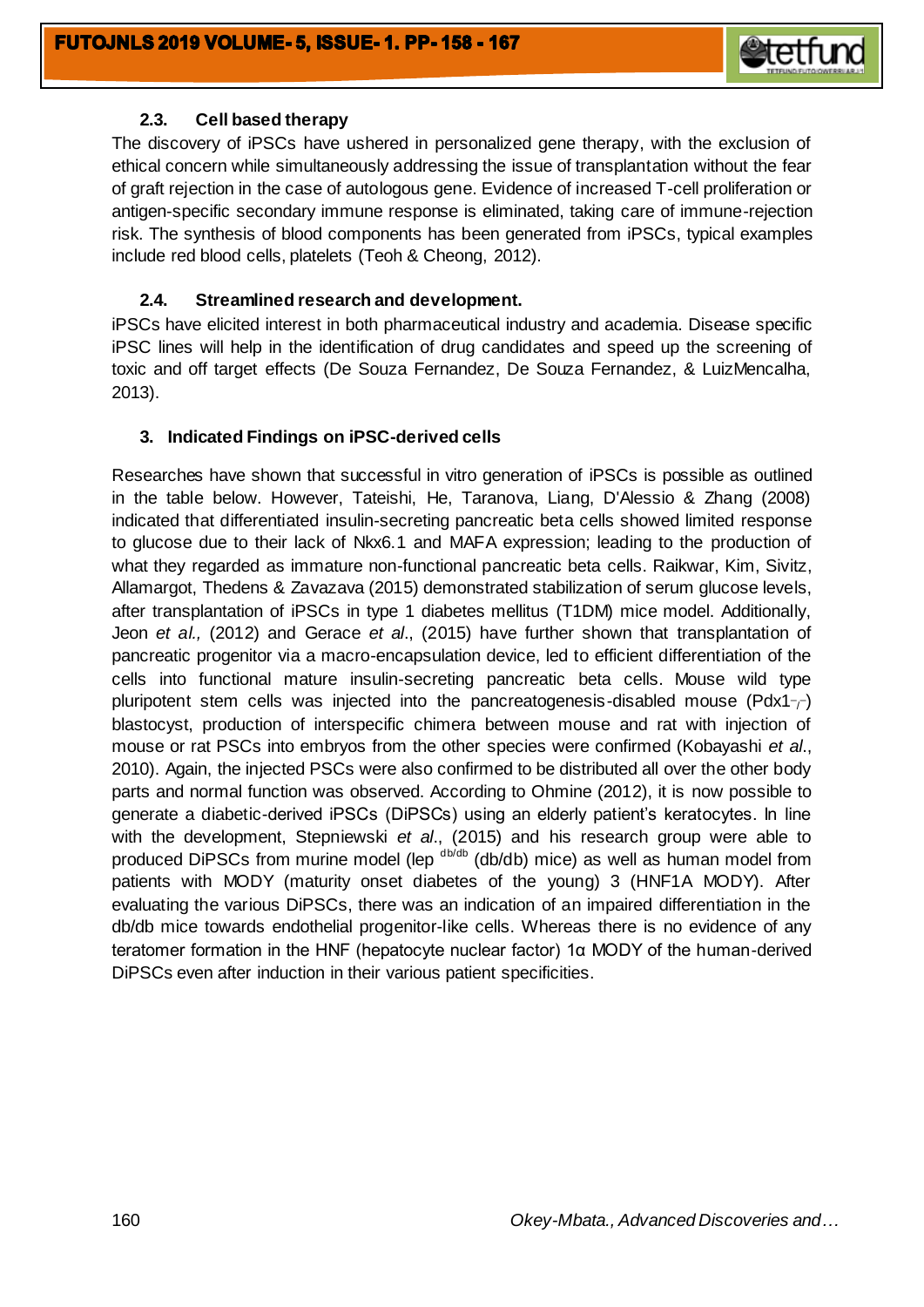

## **2.3. Cell based therapy**

The discovery of iPSCs have ushered in personalized gene therapy, with the exclusion of ethical concern while simultaneously addressing the issue of transplantation without the fear of graft rejection in the case of autologous gene. Evidence of increased T-cell proliferation or antigen-specific secondary immune response is eliminated, taking care of immune-rejection risk. The synthesis of blood components has been generated from iPSCs, typical examples include red blood cells, platelets (Teoh & Cheong, 2012).

## **2.4. Streamlined research and development.**

iPSCs have elicited interest in both pharmaceutical industry and academia. Disease specific iPSC lines will help in the identification of drug candidates and speed up the screening of toxic and off target effects (De Souza Fernandez, De Souza Fernandez, & LuizMencalha, 2013).

## **3. Indicated Findings on iPSC-derived cells**

Researches have shown that successful in vitro generation of iPSCs is possible as outlined in the table below. However, Tateishi, He, Taranova, Liang, D'Alessio & Zhang (2008) indicated that differentiated insulin-secreting pancreatic beta cells showed limited response to glucose due to their lack of Nkx6.1 and MAFA expression; leading to the production of what they regarded as immature non-functional pancreatic beta cells. Raikwar, Kim, Sivitz, Allamargot, Thedens & Zavazava (2015) demonstrated stabilization of serum glucose levels, after transplantation of iPSCs in type 1 diabetes mellitus (T1DM) mice model. Additionally, Jeon *et al.,* (2012) and Gerace *et al*., (2015) have further shown that transplantation of pancreatic progenitor via a macro-encapsulation device, led to efficient differentiation of the cells into functional mature insulin-secreting pancreatic beta cells. Mouse wild type pluripotent stem cells was injected into the pancreatogenesis-disabled mouse (Pdx1 $\frac{1}{\sqrt{2}}$ ) blastocyst, production of interspecific chimera between mouse and rat with injection of mouse or rat PSCs into embryos from the other species were confirmed (Kobayashi *et al*., 2010). Again, the injected PSCs were also confirmed to be distributed all over the other body parts and normal function was observed. According to Ohmine (2012), it is now possible to generate a diabetic-derived iPSCs (DiPSCs) using an elderly patient's keratocytes. In line with the development, Stepniewski *et al*., (2015) and his research group were able to produced DiPSCs from murine model (lep  $d/db/db$ ) mice) as well as human model from patients with MODY (maturity onset diabetes of the young) 3 (HNF1A MODY). After evaluating the various DiPSCs, there was an indication of an impaired differentiation in the db/db mice towards endothelial progenitor-like cells. Whereas there is no evidence of any teratomer formation in the HNF (hepatocyte nuclear factor) 1α MODY of the human-derived DiPSCs even after induction in their various patient specificities.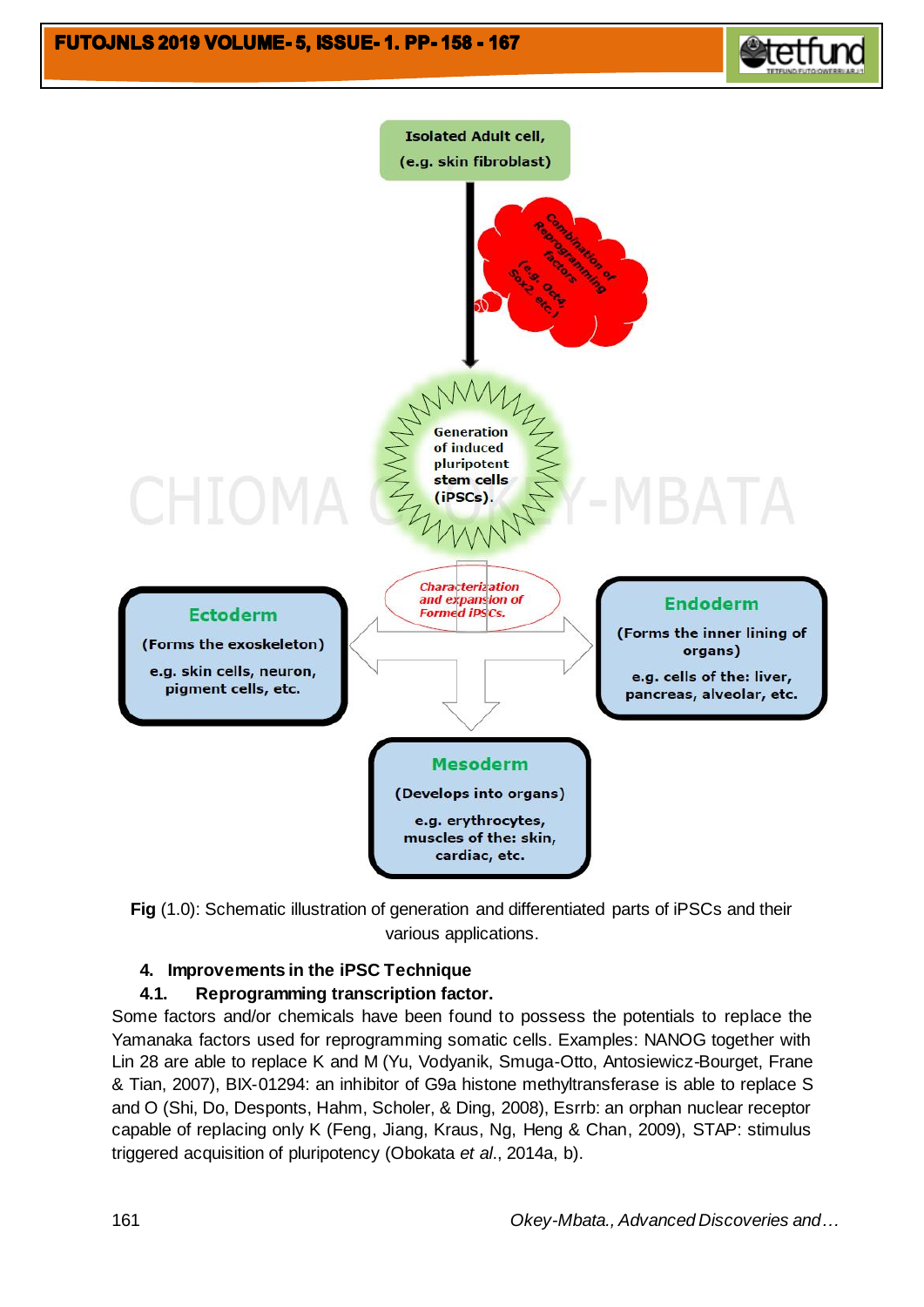# **FUTOJNLS 2019 VOLUME- 5, ISSUE- 1. PP-158 - 167**





**Fig** (1.0): Schematic illustration of generation and differentiated parts of iPSCs and their various applications.

## **4. Improvements in the iPSC Technique**

## **4.1. Reprogramming transcription factor.**

Some factors and/or chemicals have been found to possess the potentials to replace the Yamanaka factors used for reprogramming somatic cells. Examples: NANOG together with Lin 28 are able to replace K and M (Yu, Vodyanik, Smuga-Otto, Antosiewicz-Bourget, Frane & Tian, 2007), BIX-01294: an inhibitor of G9a histone methyltransferase is able to replace S and O (Shi, Do, Desponts, Hahm, Scholer, & Ding, 2008), Esrrb: an orphan nuclear receptor capable of replacing only K (Feng, Jiang, Kraus, Ng, Heng & Chan, 2009), STAP: stimulus triggered acquisition of pluripotency (Obokata *et al*., 2014a, b).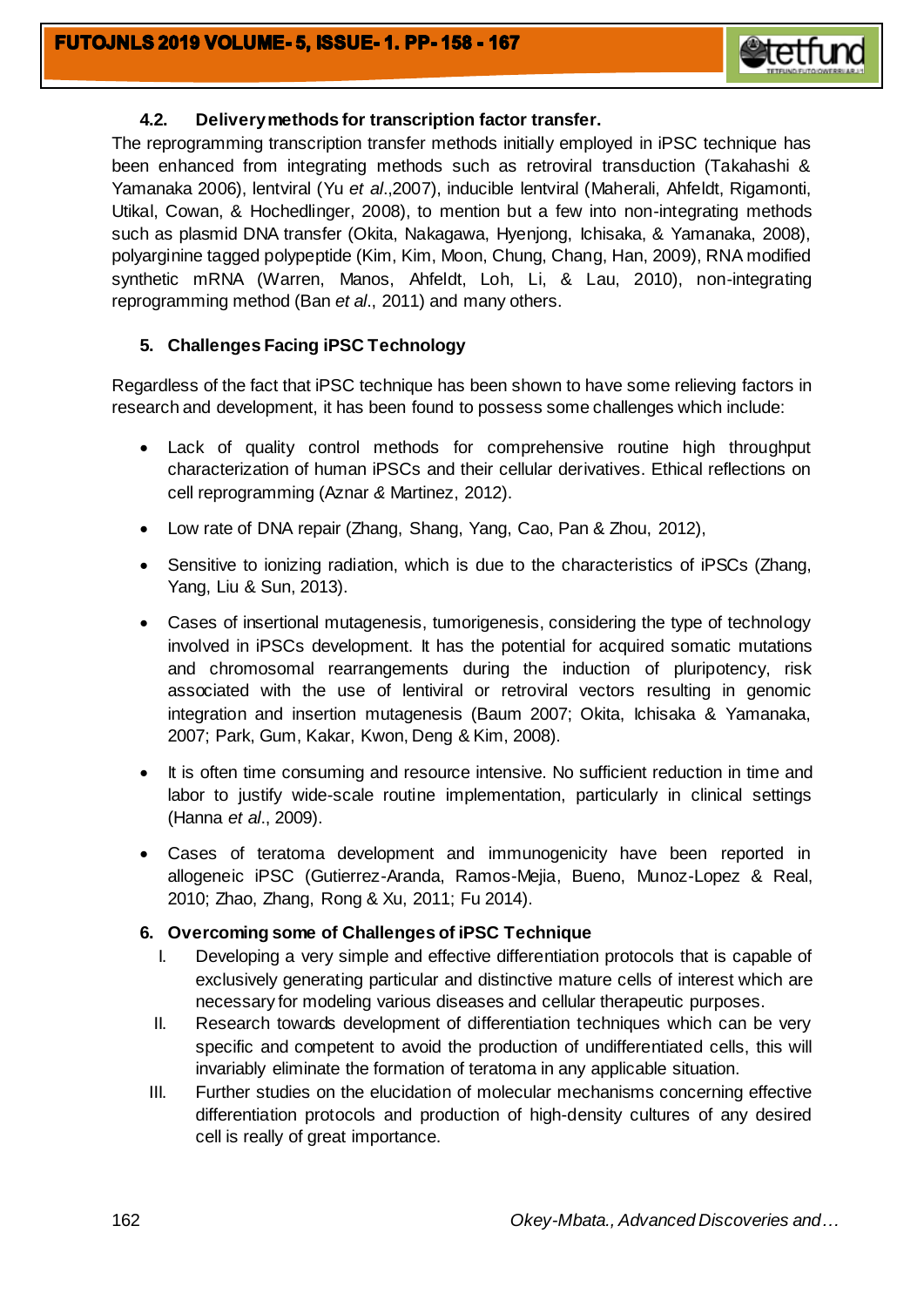

## **4.2. Delivery methods for transcription factor transfer.**

The reprogramming transcription transfer methods initially employed in iPSC technique has been enhanced from integrating methods such as retroviral transduction (Takahashi & Yamanaka 2006), lentviral (Yu *et al*.,2007), inducible lentviral (Maherali, Ahfeldt, Rigamonti, Utikal, Cowan, & Hochedlinger, 2008), to mention but a few into non-integrating methods such as plasmid DNA transfer (Okita, Nakagawa, Hyenjong, Ichisaka, & Yamanaka, 2008), polyarginine tagged polypeptide (Kim, Kim, Moon, Chung, Chang, Han, 2009), RNA modified synthetic mRNA (Warren, Manos, Ahfeldt, Loh, Li, & Lau, 2010), non-integrating reprogramming method (Ban *et al*., 2011) and many others.

## **5. Challenges Facing iPSC Technology**

Regardless of the fact that iPSC technique has been shown to have some relieving factors in research and development, it has been found to possess some challenges which include:

- Lack of quality control methods for comprehensive routine high throughput characterization of human iPSCs and their cellular derivatives. Ethical reflections on cell reprogramming (Aznar *&* Martinez, 2012).
- Low rate of DNA repair (Zhang, Shang, Yang, Cao, Pan & Zhou, 2012),
- Sensitive to ionizing radiation, which is due to the characteristics of iPSCs (Zhang, Yang, Liu & Sun, 2013).
- Cases of insertional mutagenesis, tumorigenesis, considering the type of technology involved in iPSCs development. It has the potential for acquired somatic mutations and chromosomal rearrangements during the induction of pluripotency, risk associated with the use of lentiviral or retroviral vectors resulting in genomic integration and insertion mutagenesis (Baum 2007; Okita, Ichisaka & Yamanaka, 2007; Park, Gum, Kakar, Kwon, Deng & Kim, 2008).
- It is often time consuming and resource intensive. No sufficient reduction in time and labor to justify wide-scale routine implementation, particularly in clinical settings (Hanna *et al*., 2009).
- Cases of teratoma development and immunogenicity have been reported in allogeneic iPSC (Gutierrez-Aranda, Ramos-Mejia, Bueno, Munoz-Lopez & Real, 2010; Zhao, Zhang, Rong & Xu, 2011; Fu 2014).

### **6. Overcoming some of Challenges of iPSC Technique**

- I. Developing a very simple and effective differentiation protocols that is capable of exclusively generating particular and distinctive mature cells of interest which are necessary for modeling various diseases and cellular therapeutic purposes.
- II. Research towards development of differentiation techniques which can be very specific and competent to avoid the production of undifferentiated cells, this will invariably eliminate the formation of teratoma in any applicable situation.
- III. Further studies on the elucidation of molecular mechanisms concerning effective differentiation protocols and production of high-density cultures of any desired cell is really of great importance.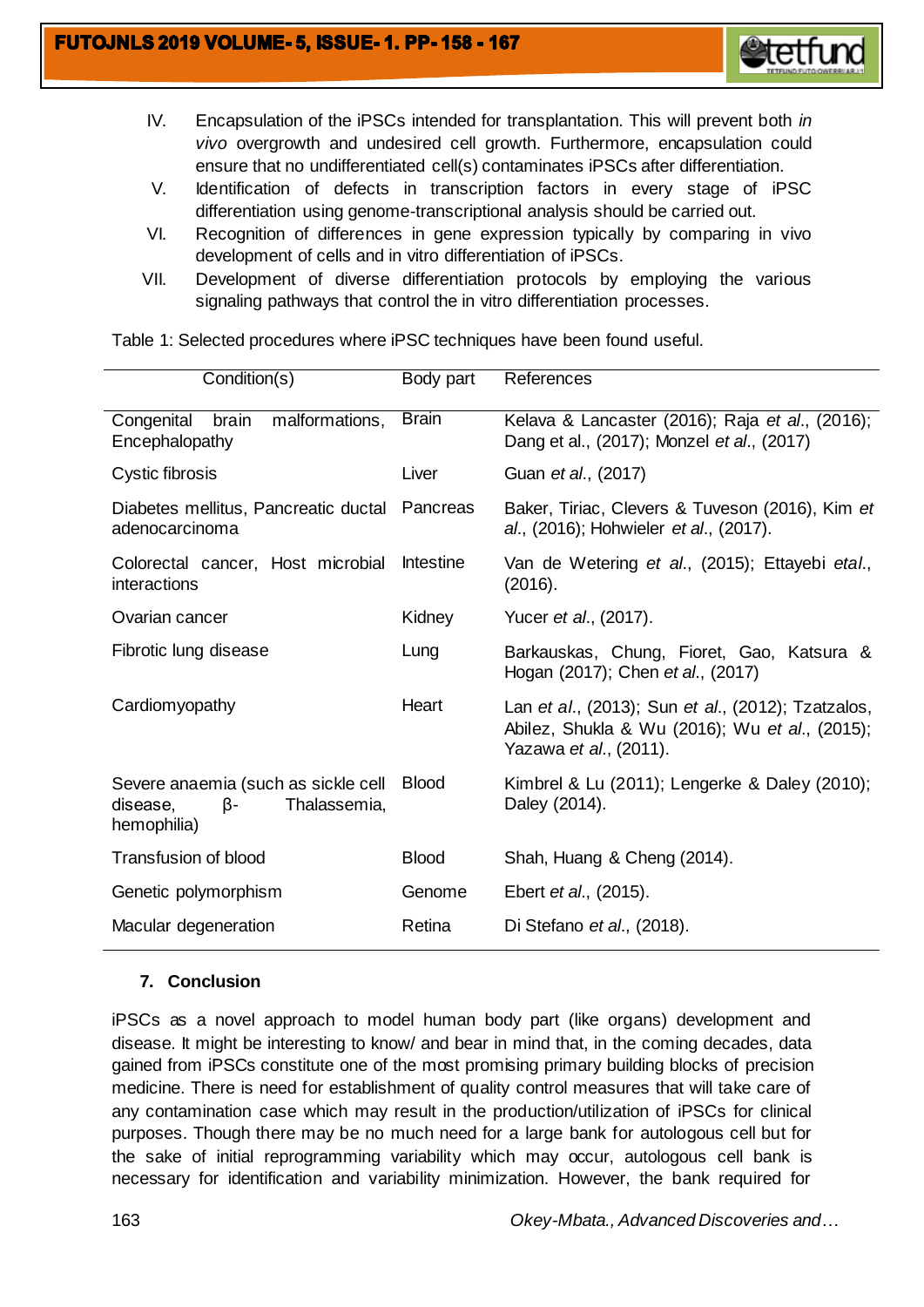

- IV. Encapsulation of the iPSCs intended for transplantation. This will prevent both *in vivo* overgrowth and undesired cell growth. Furthermore, encapsulation could ensure that no undifferentiated cell(s) contaminates iPSCs after differentiation.
- V. Identification of defects in transcription factors in every stage of iPSC differentiation using genome-transcriptional analysis should be carried out.
- VI. Recognition of differences in gene expression typically by comparing in vivo development of cells and in vitro differentiation of iPSCs.
- VII. Development of diverse differentiation protocols by employing the various signaling pathways that control the in vitro differentiation processes.

| Condition(s)                                                                         | Body part    | References                                                                                                                     |
|--------------------------------------------------------------------------------------|--------------|--------------------------------------------------------------------------------------------------------------------------------|
| Congenital brain<br>malformations,<br>Encephalopathy                                 | <b>Brain</b> | Kelava & Lancaster (2016); Raja et al., (2016);<br>Dang et al., (2017); Monzel et al., (2017)                                  |
| Cystic fibrosis                                                                      | Liver        | Guan et al., (2017)                                                                                                            |
| Diabetes mellitus, Pancreatic ductal<br>adenocarcinoma                               | Pancreas     | Baker, Tiriac, Clevers & Tuveson (2016), Kim et<br>al., (2016); Hohwieler et al., (2017).                                      |
| Colorectal cancer, Host microbial<br>interactions                                    | Intestine    | Van de Wetering et al., (2015); Ettayebi etal.,<br>(2016).                                                                     |
| Ovarian cancer                                                                       | Kidney       | Yucer <i>et al.</i> , (2017).                                                                                                  |
| Fibrotic lung disease                                                                | Lung         | Barkauskas, Chung, Fioret, Gao, Katsura &<br>Hogan (2017); Chen et al., (2017)                                                 |
| Cardiomyopathy                                                                       | Heart        | Lan et al., (2013); Sun et al., (2012); Tzatzalos,<br>Abilez, Shukla & Wu (2016); Wu et al., (2015);<br>Yazawa et al., (2011). |
| Severe anaemia (such as sickle cell<br>β-<br>Thalassemia,<br>disease,<br>hemophilia) | <b>Blood</b> | Kimbrel & Lu (2011); Lengerke & Daley (2010);<br>Daley (2014).                                                                 |
| Transfusion of blood                                                                 | <b>Blood</b> | Shah, Huang & Cheng (2014).                                                                                                    |
| Genetic polymorphism                                                                 | Genome       | Ebert et al., (2015).                                                                                                          |
| Macular degeneration                                                                 | Retina       | Di Stefano et al., (2018).                                                                                                     |

Table 1: Selected procedures where iPSC techniques have been found useful.

## **7. Conclusion**

iPSCs as a novel approach to model human body part (like organs) development and disease. It might be interesting to know/ and bear in mind that, in the coming decades, data gained from iPSCs constitute one of the most promising primary building blocks of precision medicine. There is need for establishment of quality control measures that will take care of any contamination case which may result in the production/utilization of iPSCs for clinical purposes. Though there may be no much need for a large bank for autologous cell but for the sake of initial reprogramming variability which may occur, autologous cell bank is necessary for identification and variability minimization. However, the bank required for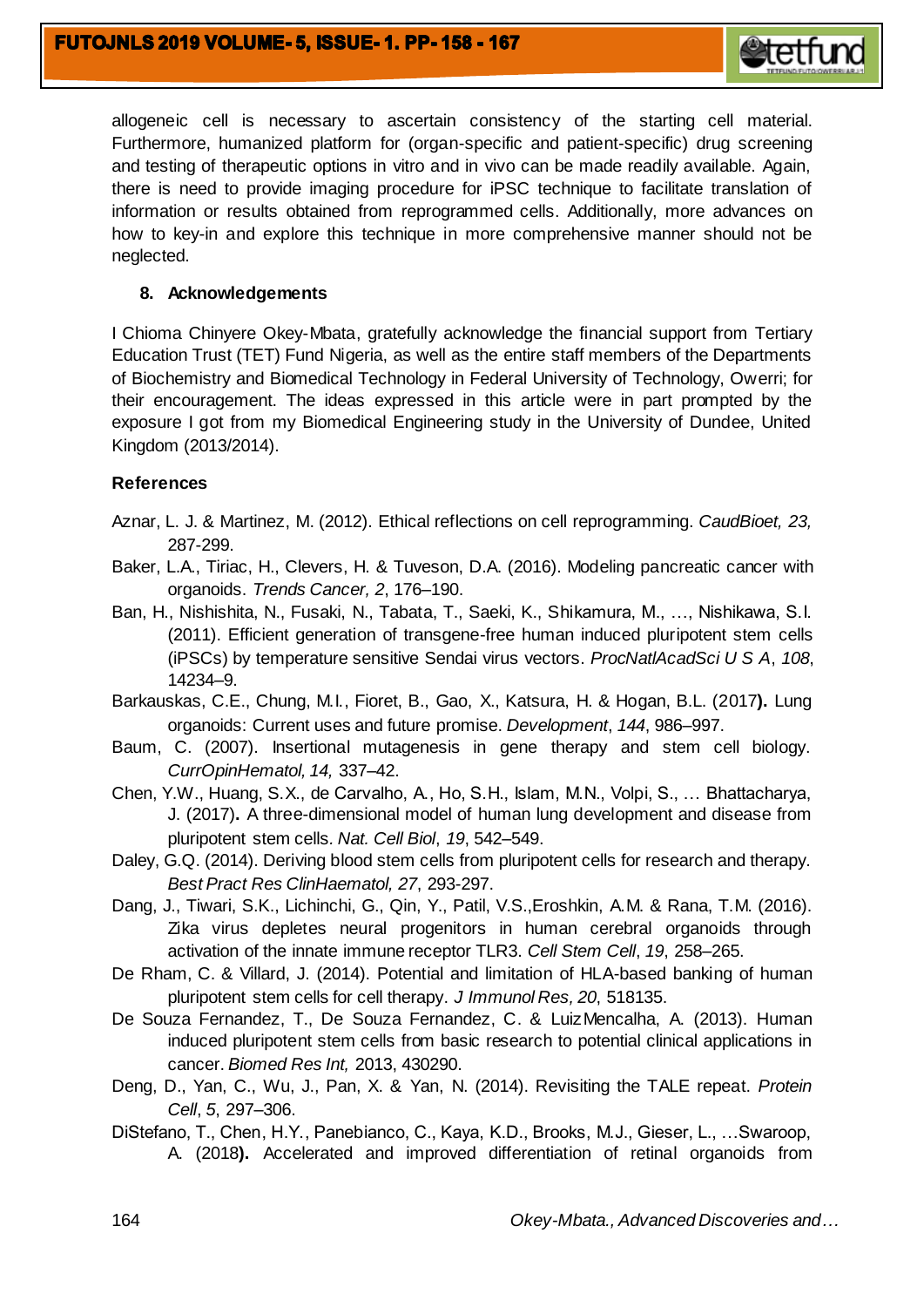

allogeneic cell is necessary to ascertain consistency of the starting cell material. Furthermore, humanized platform for (organ-specific and patient-specific) drug screening and testing of therapeutic options in vitro and in vivo can be made readily available. Again, there is need to provide imaging procedure for iPSC technique to facilitate translation of information or results obtained from reprogrammed cells. Additionally, more advances on how to key-in and explore this technique in more comprehensive manner should not be neglected.

## **8. Acknowledgements**

I Chioma Chinyere Okey-Mbata, gratefully acknowledge the financial support from Tertiary Education Trust (TET) Fund Nigeria, as well as the entire staff members of the Departments of Biochemistry and Biomedical Technology in Federal University of Technology, Owerri; for their encouragement. The ideas expressed in this article were in part prompted by the exposure I got from my Biomedical Engineering study in the University of Dundee, United Kingdom (2013/2014).

## **References**

- Aznar, L. J. & Martinez, M. (2012). Ethical reflections on cell reprogramming. *CaudBioet, 23,* 287-299.
- Baker, L.A., Tiriac, H., Clevers, H. & Tuveson, D.A. (2016). Modeling pancreatic cancer with organoids. *Trends Cancer, 2*, 176–190.
- Ban, H., Nishishita, N., Fusaki, N., Tabata, T., Saeki, K., Shikamura, M., …, Nishikawa, S.I. (2011). Efficient generation of transgene-free human induced pluripotent stem cells (iPSCs) by temperature sensitive Sendai virus vectors. *ProcNatlAcadSci U S A*, *108*, 14234–9.
- Barkauskas, C.E., Chung, M.I., Fioret, B., Gao, X., Katsura, H. & Hogan, B.L. (2017**).** Lung organoids: Current uses and future promise. *Development*, *144*, 986–997.
- Baum, C. (2007). Insertional mutagenesis in gene therapy and stem cell biology. *CurrOpinHematol, 14,* 337–42.
- Chen, Y.W., Huang, S.X., de Carvalho, A., Ho, S.H., Islam, M.N., Volpi, S., … Bhattacharya, J. (2017)**.** A three-dimensional model of human lung development and disease from pluripotent stem cells*. Nat. Cell Biol*, *19*, 542–549.
- Daley, G.Q. (2014). Deriving blood stem cells from pluripotent cells for research and therapy. *Best Pract Res ClinHaematol, 27*, 293-297.
- Dang, J., Tiwari, S.K., Lichinchi, G., Qin, Y., Patil, V.S.,Eroshkin, A.M. & Rana, T.M. (2016). Zika virus depletes neural progenitors in human cerebral organoids through activation of the innate immune receptor TLR3. *Cell Stem Cell*, *19*, 258–265.
- De Rham, C. & Villard, J. (2014). Potential and limitation of HLA-based banking of human pluripotent stem cells for cell therapy. *J Immunol Res, 20*, 518135.
- De Souza Fernandez, T., De Souza Fernandez, C. & LuizMencalha, A. (2013). Human induced pluripotent stem cells from basic research to potential clinical applications in cancer. *Biomed Res Int,* 2013, 430290.
- Deng, D., Yan, C., Wu, J., Pan, X. & Yan, N. (2014). Revisiting the TALE repeat. *Protein Cell*, *5*, 297–306.
- DiStefano, T., Chen, H.Y., Panebianco, C., Kaya, K.D., Brooks, M.J., Gieser, L., …Swaroop, A. (2018**).** Accelerated and improved differentiation of retinal organoids from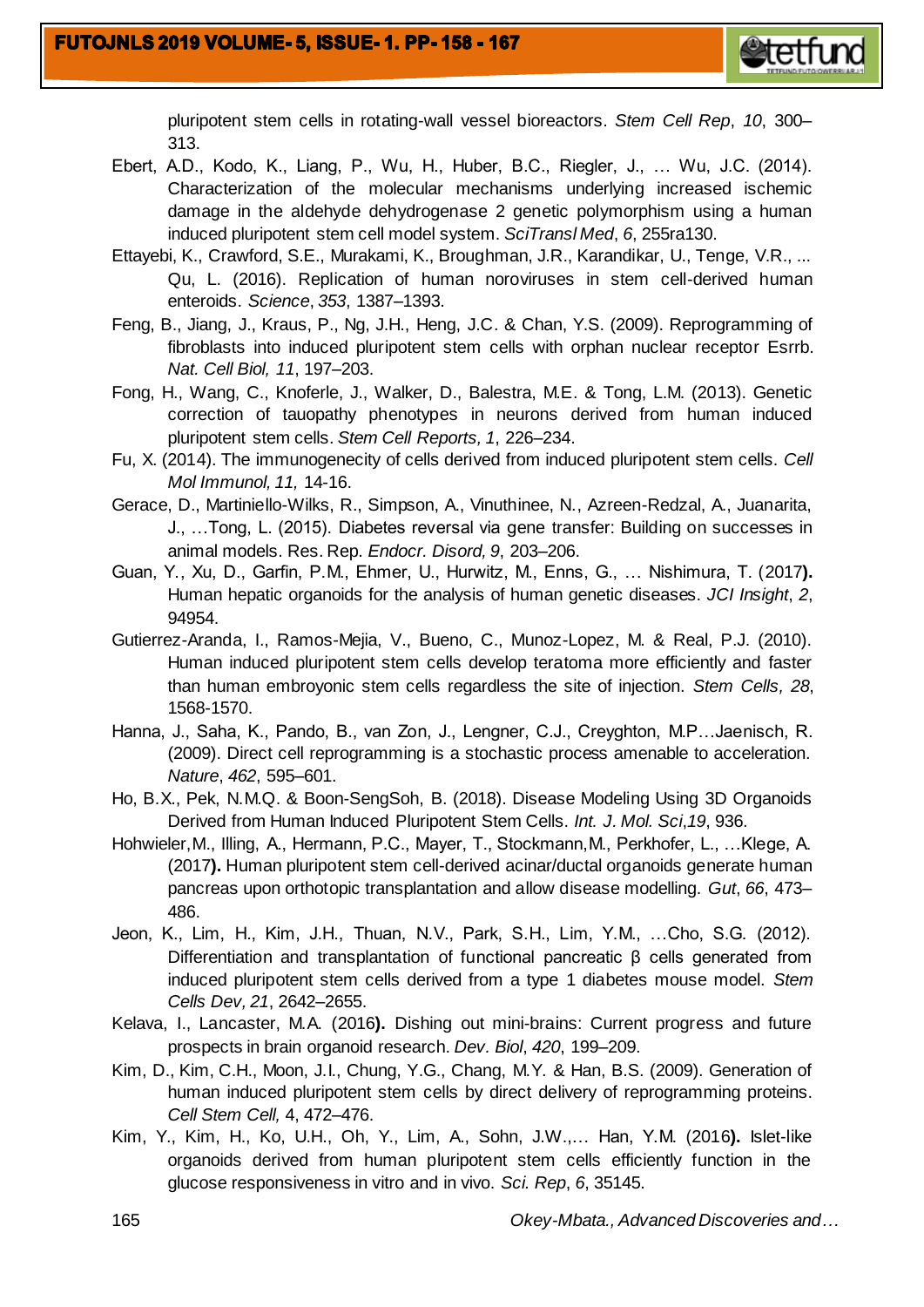

pluripotent stem cells in rotating-wall vessel bioreactors. *Stem Cell Rep*, *10*, 300– 313.

- Ebert, A.D., Kodo, K., Liang, P., Wu, H., Huber, B.C., Riegler, J., … Wu, J.C. (2014). Characterization of the molecular mechanisms underlying increased ischemic damage in the aldehyde dehydrogenase 2 genetic polymorphism using a human induced pluripotent stem cell model system. *SciTransl Med*, *6*, 255ra130.
- Ettayebi, K., Crawford, S.E., Murakami, K., Broughman, J.R., Karandikar, U., Tenge, V.R., ... Qu, L. (2016). Replication of human noroviruses in stem cell-derived human enteroids. *Science*, *353*, 1387–1393.
- Feng, B., Jiang, J., Kraus, P., Ng, J.H., Heng, J.C. & Chan, Y.S. (2009). Reprogramming of fibroblasts into induced pluripotent stem cells with orphan nuclear receptor Esrrb. *Nat. Cell Biol, 11*, 197–203.
- Fong, H., Wang, C., Knoferle, J., Walker, D., Balestra, M.E. & Tong, L.M. (2013). Genetic correction of tauopathy phenotypes in neurons derived from human induced pluripotent stem cells. *Stem Cell Reports, 1*, 226–234.
- Fu, X. (2014). The immunogenecity of cells derived from induced pluripotent stem cells. *Cell Mol Immunol, 11,* 14-16.
- Gerace, D., Martiniello-Wilks, R., Simpson, A., Vinuthinee, N., Azreen-Redzal, A., Juanarita, J., …Tong, L. (2015). Diabetes reversal via gene transfer: Building on successes in animal models. Res. Rep. *Endocr. Disord, 9*, 203–206.
- Guan, Y., Xu, D., Garfin, P.M., Ehmer, U., Hurwitz, M., Enns, G., … Nishimura, T. (2017**).** Human hepatic organoids for the analysis of human genetic diseases. *JCI Insight*, *2*, 94954.
- Gutierrez-Aranda, I., Ramos-Mejia, V., Bueno, C., Munoz-Lopez, M. & Real, P.J. (2010). Human induced pluripotent stem cells develop teratoma more efficiently and faster than human embroyonic stem cells regardless the site of injection. *Stem Cells, 28*, 1568-1570.
- Hanna, J., Saha, K., Pando, B., van Zon, J., Lengner, C.J., Creyghton, M.P…Jaenisch, R. (2009). Direct cell reprogramming is a stochastic process amenable to acceleration. *Nature*, *462*, 595–601.
- Ho, B.X., Pek, N.M.Q. & Boon-SengSoh, B. (2018). Disease Modeling Using 3D Organoids Derived from Human Induced Pluripotent Stem Cells. *Int. J. Mol. Sci*,*19*, 936.
- Hohwieler,M., Illing, A., Hermann, P.C., Mayer, T., Stockmann,M., Perkhofer, L., …Klege, A. (2017**).** Human pluripotent stem cell-derived acinar/ductal organoids generate human pancreas upon orthotopic transplantation and allow disease modelling. *Gut*, *66*, 473– 486.
- Jeon, K., Lim, H., Kim, J.H., Thuan, N.V., Park, S.H., Lim, Y.M., …Cho, S.G. (2012). Differentiation and transplantation of functional pancreatic β cells generated from induced pluripotent stem cells derived from a type 1 diabetes mouse model. *Stem Cells Dev, 21*, 2642–2655.
- Kelava, I., Lancaster, M.A. (2016**).** Dishing out mini-brains: Current progress and future prospects in brain organoid research. *Dev. Biol*, *420*, 199–209.
- Kim, D., Kim, C.H., Moon, J.I., Chung, Y.G., Chang, M.Y. & Han, B.S. (2009). Generation of human induced pluripotent stem cells by direct delivery of reprogramming proteins. *Cell Stem Cell,* 4, 472–476.
- Kim, Y., Kim, H., Ko, U.H., Oh, Y., Lim, A., Sohn, J.W.,… Han, Y.M. (2016**).** Islet-like organoids derived from human pluripotent stem cells efficiently function in the glucose responsiveness in vitro and in vivo. *Sci. Rep*, *6*, 35145.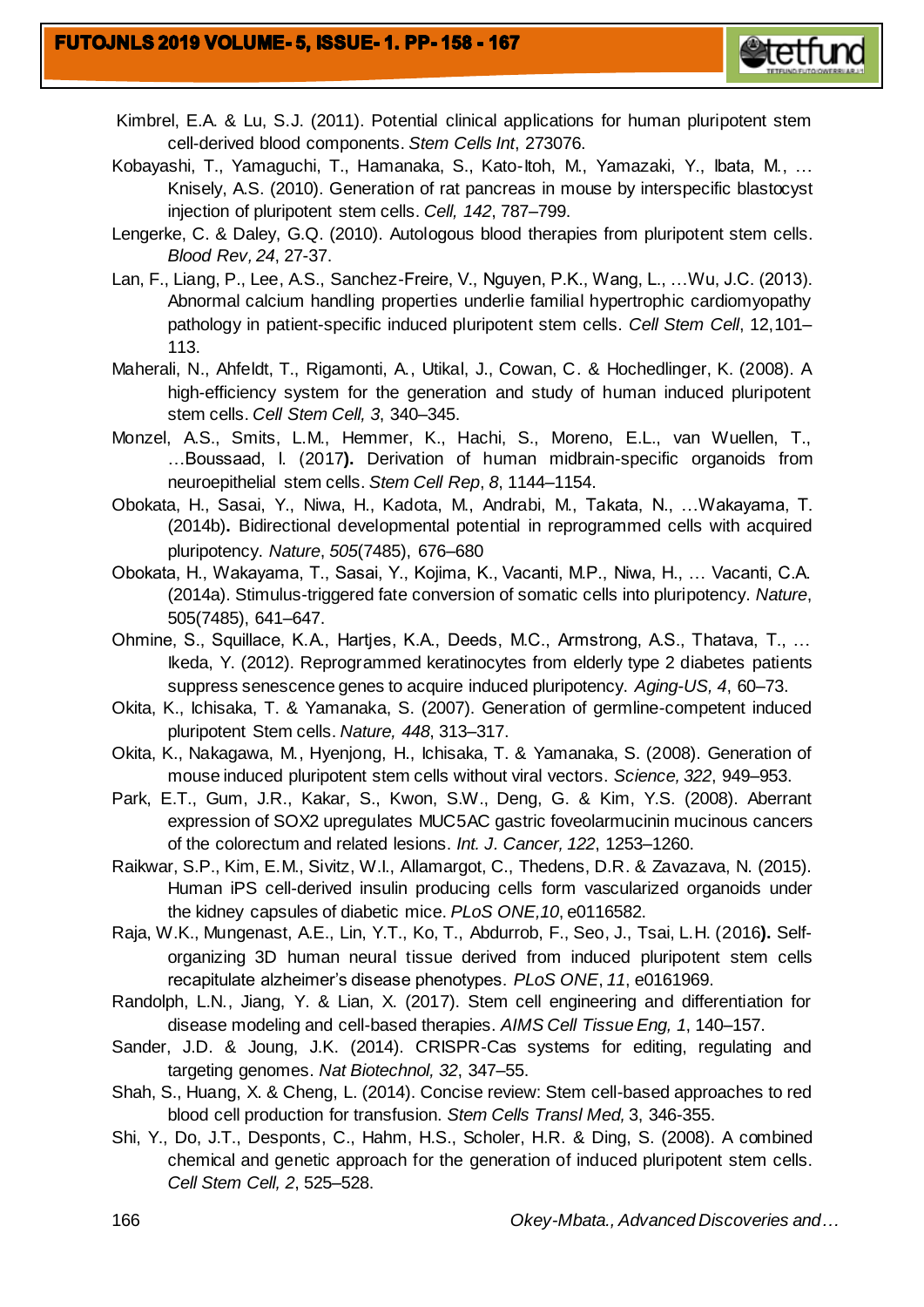

- Kimbrel, E.A. & Lu, S.J. (2011). Potential clinical applications for human pluripotent stem cell-derived blood components. *Stem Cells Int*, 273076.
- Kobayashi, T., Yamaguchi, T., Hamanaka, S., Kato-Itoh, M., Yamazaki, Y., Ibata, M., … Knisely, A.S. (2010). Generation of rat pancreas in mouse by interspecific blastocyst injection of pluripotent stem cells. *Cell, 142*, 787–799.
- Lengerke, C. & Daley, G.Q. (2010). Autologous blood therapies from pluripotent stem cells. *Blood Rev, 24*, 27-37.
- Lan, F., Liang, P., Lee, A.S., Sanchez-Freire, V., Nguyen, P.K., Wang, L., …Wu, J.C. (2013). Abnormal calcium handling properties underlie familial hypertrophic cardiomyopathy pathology in patient-specific induced pluripotent stem cells. *Cell Stem Cell*, 12,101– 113.
- Maherali, N., Ahfeldt, T., Rigamonti, A., Utikal, J., Cowan, C. & Hochedlinger, K. (2008). A high-efficiency system for the generation and study of human induced pluripotent stem cells. *Cell Stem Cell, 3*, 340–345.
- Monzel, A.S., Smits, L.M., Hemmer, K., Hachi, S., Moreno, E.L., van Wuellen, T., …Boussaad, I. (2017**).** Derivation of human midbrain-specific organoids from neuroepithelial stem cells. *Stem Cell Rep*, *8*, 1144–1154.
- Obokata, H., Sasai, Y., Niwa, H., Kadota, M., Andrabi, M., Takata, N., …Wakayama, T. (2014b)**.** Bidirectional developmental potential in reprogrammed cells with acquired pluripotency. *Nature*, *505*(7485), 676–680
- Obokata, H., Wakayama, T., Sasai, Y., Kojima, K., Vacanti, M.P., Niwa, H., … Vacanti, C.A. (2014a). Stimulus-triggered fate conversion of somatic cells into pluripotency. *Nature*, 505(7485), 641–647.
- Ohmine, S., Squillace, K.A., Hartjes, K.A., Deeds, M.C., Armstrong, A.S., Thatava, T., … Ikeda, Y. (2012). Reprogrammed keratinocytes from elderly type 2 diabetes patients suppress senescence genes to acquire induced pluripotency. *Aging-US, 4*, 60–73.
- Okita, K., Ichisaka, T. & Yamanaka, S. (2007). Generation of germline-competent induced pluripotent Stem cells. *Nature, 448*, 313–317.
- Okita, K., Nakagawa, M., Hyenjong, H., Ichisaka, T. & Yamanaka, S. (2008). Generation of mouse induced pluripotent stem cells without viral vectors. *Science, 322*, 949–953.
- Park, E.T., Gum, J.R., Kakar, S., Kwon, S.W., Deng, G. & Kim, Y.S. (2008). Aberrant expression of SOX2 upregulates MUC5AC gastric foveolarmucinin mucinous cancers of the colorectum and related lesions. *Int. J. Cancer, 122*, 1253–1260.
- Raikwar, S.P., Kim, E.M., Sivitz, W.I., Allamargot, C., Thedens, D.R. & Zavazava, N. (2015). Human iPS cell-derived insulin producing cells form vascularized organoids under the kidney capsules of diabetic mice. *PLoS ONE,10*, e0116582.
- Raja, W.K., Mungenast, A.E., Lin, Y.T., Ko, T., Abdurrob, F., Seo, J., Tsai, L.H. (2016**).** Selforganizing 3D human neural tissue derived from induced pluripotent stem cells recapitulate alzheimer's disease phenotypes. *PLoS ONE*, *11*, e0161969.
- Randolph, L.N., Jiang, Y. & Lian, X. (2017). Stem cell engineering and differentiation for disease modeling and cell-based therapies. *AIMS Cell Tissue Eng, 1*, 140–157.
- Sander, J.D. & Joung, J.K. (2014). CRISPR-Cas systems for editing, regulating and targeting genomes. *Nat Biotechnol, 32*, 347–55.
- Shah, S., Huang, X. & Cheng, L. (2014). Concise review: Stem cell-based approaches to red blood cell production for transfusion. *Stem Cells Transl Med,* 3, 346-355.
- Shi, Y., Do, J.T., Desponts, C., Hahm, H.S., Scholer, H.R. & Ding, S. (2008). A combined chemical and genetic approach for the generation of induced pluripotent stem cells. *Cell Stem Cell, 2*, 525–528.